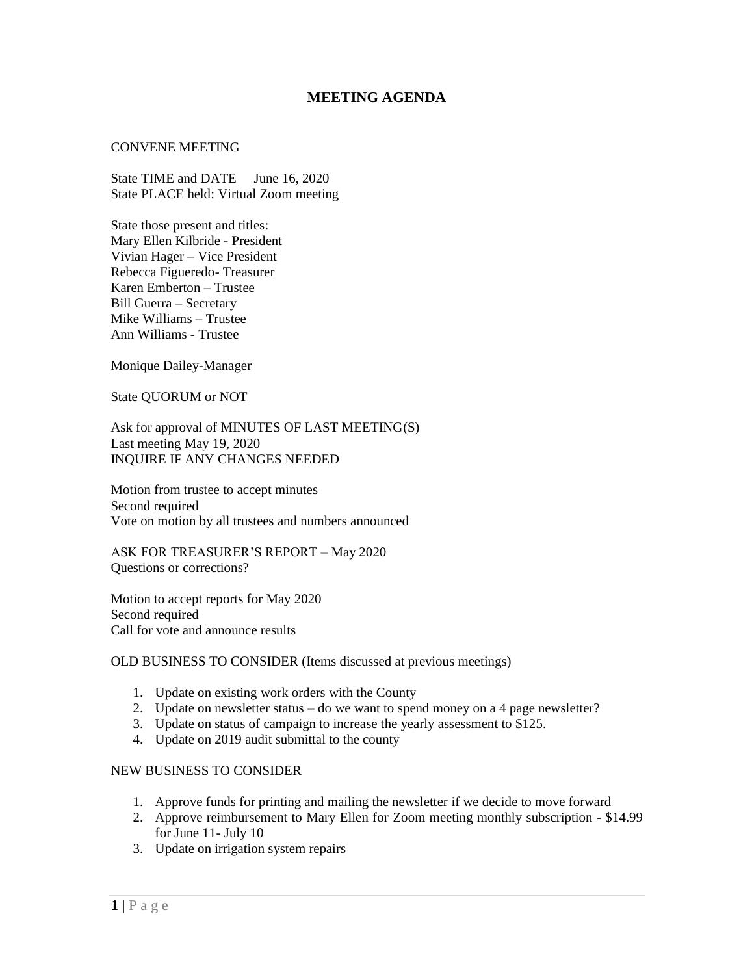## **MEETING AGENDA**

## CONVENE MEETING

State TIME and DATE June 16, 2020 State PLACE held: Virtual Zoom meeting

State those present and titles: Mary Ellen Kilbride - President Vivian Hager – Vice President Rebecca Figueredo- Treasurer Karen Emberton – Trustee Bill Guerra – Secretary Mike Williams – Trustee Ann Williams - Trustee

Monique Dailey-Manager

State QUORUM or NOT

Ask for approval of MINUTES OF LAST MEETING(S) Last meeting May 19, 2020 INQUIRE IF ANY CHANGES NEEDED

Motion from trustee to accept minutes Second required Vote on motion by all trustees and numbers announced

ASK FOR TREASURER'S REPORT – May 2020 Questions or corrections?

Motion to accept reports for May 2020 Second required Call for vote and announce results

## OLD BUSINESS TO CONSIDER (Items discussed at previous meetings)

- 1. Update on existing work orders with the County
- 2. Update on newsletter status do we want to spend money on a 4 page newsletter?
- 3. Update on status of campaign to increase the yearly assessment to \$125.
- 4. Update on 2019 audit submittal to the county

## NEW BUSINESS TO CONSIDER

- 1. Approve funds for printing and mailing the newsletter if we decide to move forward
- 2. Approve reimbursement to Mary Ellen for Zoom meeting monthly subscription \$14.99 for June 11- July 10
- 3. Update on irrigation system repairs